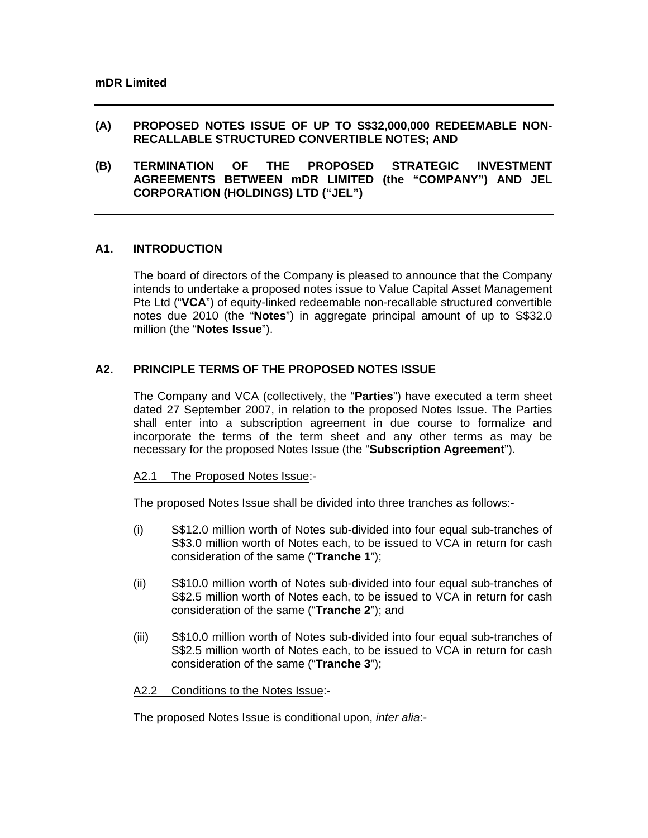### **(A) PROPOSED NOTES ISSUE OF UP TO S\$32,000,000 REDEEMABLE NON-RECALLABLE STRUCTURED CONVERTIBLE NOTES; AND**

**(B) TERMINATION OF THE PROPOSED STRATEGIC INVESTMENT AGREEMENTS BETWEEN mDR LIMITED (the "COMPANY") AND JEL CORPORATION (HOLDINGS) LTD ("JEL")** 

## **A1. INTRODUCTION**

The board of directors of the Company is pleased to announce that the Company intends to undertake a proposed notes issue to Value Capital Asset Management Pte Ltd ("**VCA**") of equity-linked redeemable non-recallable structured convertible notes due 2010 (the "**Notes**") in aggregate principal amount of up to S\$32.0 million (the "**Notes Issue**").

## **A2. PRINCIPLE TERMS OF THE PROPOSED NOTES ISSUE**

The Company and VCA (collectively, the "**Parties**") have executed a term sheet dated 27 September 2007, in relation to the proposed Notes Issue. The Parties shall enter into a subscription agreement in due course to formalize and incorporate the terms of the term sheet and any other terms as may be necessary for the proposed Notes Issue (the "**Subscription Agreement**").

### A2.1 The Proposed Notes Issue:-

The proposed Notes Issue shall be divided into three tranches as follows:-

- (i) S\$12.0 million worth of Notes sub-divided into four equal sub-tranches of S\$3.0 million worth of Notes each, to be issued to VCA in return for cash consideration of the same ("**Tranche 1**");
- (ii) S\$10.0 million worth of Notes sub-divided into four equal sub-tranches of S\$2.5 million worth of Notes each, to be issued to VCA in return for cash consideration of the same ("**Tranche 2**"); and
- (iii) S\$10.0 million worth of Notes sub-divided into four equal sub-tranches of S\$2.5 million worth of Notes each, to be issued to VCA in return for cash consideration of the same ("**Tranche 3**");

#### A2.2 Conditions to the Notes Issue:-

The proposed Notes Issue is conditional upon, *inter alia*:-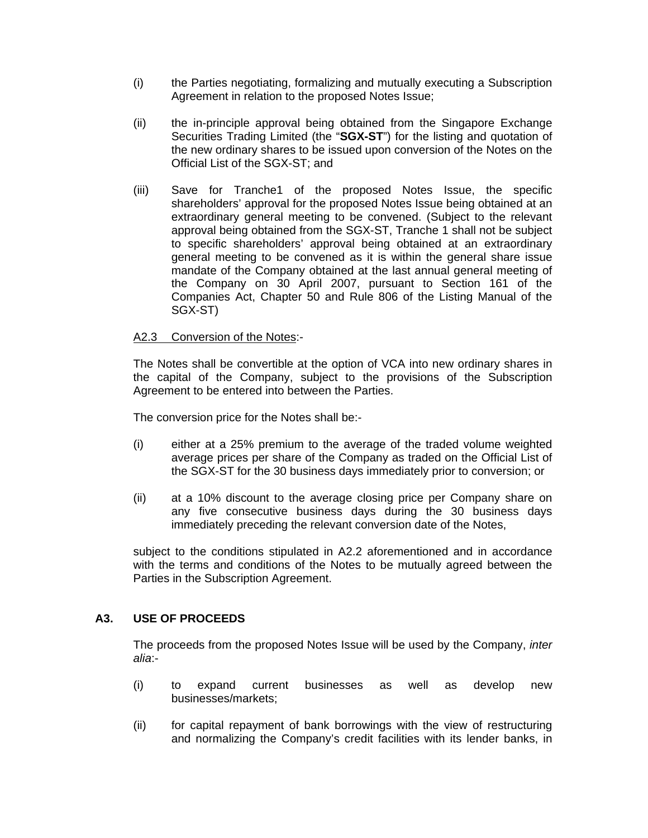- (i) the Parties negotiating, formalizing and mutually executing a Subscription Agreement in relation to the proposed Notes Issue;
- (ii) the in-principle approval being obtained from the Singapore Exchange Securities Trading Limited (the "**SGX-ST**") for the listing and quotation of the new ordinary shares to be issued upon conversion of the Notes on the Official List of the SGX-ST; and
- (iii) Save for Tranche1 of the proposed Notes Issue, the specific shareholders' approval for the proposed Notes Issue being obtained at an extraordinary general meeting to be convened. (Subject to the relevant approval being obtained from the SGX-ST, Tranche 1 shall not be subject to specific shareholders' approval being obtained at an extraordinary general meeting to be convened as it is within the general share issue mandate of the Company obtained at the last annual general meeting of the Company on 30 April 2007, pursuant to Section 161 of the Companies Act, Chapter 50 and Rule 806 of the Listing Manual of the SGX-ST)

## A2.3 Conversion of the Notes:-

The Notes shall be convertible at the option of VCA into new ordinary shares in the capital of the Company, subject to the provisions of the Subscription Agreement to be entered into between the Parties.

The conversion price for the Notes shall be:-

- (i) either at a 25% premium to the average of the traded volume weighted average prices per share of the Company as traded on the Official List of the SGX-ST for the 30 business days immediately prior to conversion; or
- (ii) at a 10% discount to the average closing price per Company share on any five consecutive business days during the 30 business days immediately preceding the relevant conversion date of the Notes,

subject to the conditions stipulated in A2.2 aforementioned and in accordance with the terms and conditions of the Notes to be mutually agreed between the Parties in the Subscription Agreement.

### **A3. USE OF PROCEEDS**

The proceeds from the proposed Notes Issue will be used by the Company, *inter alia*:-

- (i) to expand current businesses as well as develop new businesses/markets;
- (ii) for capital repayment of bank borrowings with the view of restructuring and normalizing the Company's credit facilities with its lender banks, in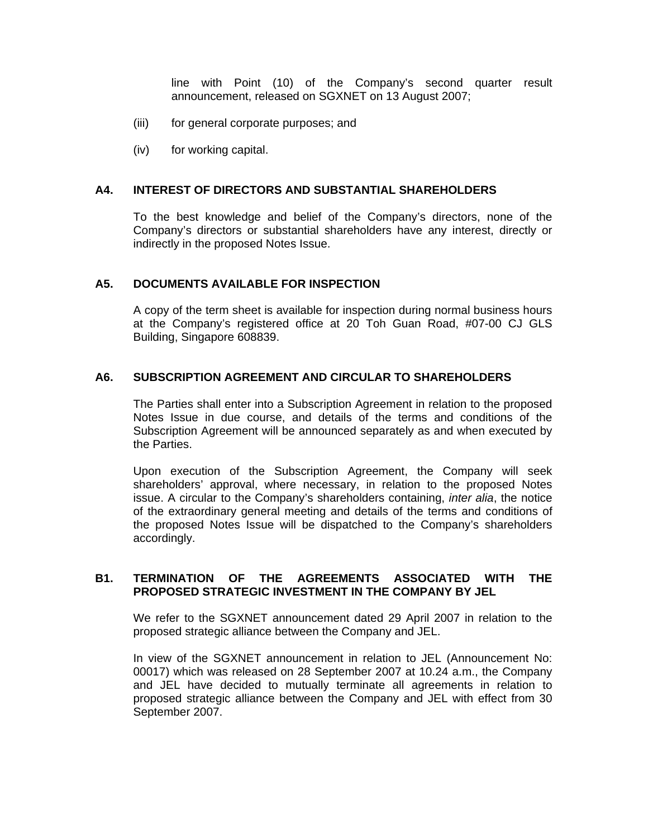line with Point (10) of the Company's second quarter result announcement, released on SGXNET on 13 August 2007;

- (iii) for general corporate purposes; and
- (iv) for working capital.

#### **A4. INTEREST OF DIRECTORS AND SUBSTANTIAL SHAREHOLDERS**

To the best knowledge and belief of the Company's directors, none of the Company's directors or substantial shareholders have any interest, directly or indirectly in the proposed Notes Issue.

### **A5. DOCUMENTS AVAILABLE FOR INSPECTION**

A copy of the term sheet is available for inspection during normal business hours at the Company's registered office at 20 Toh Guan Road, #07-00 CJ GLS Building, Singapore 608839.

### **A6. SUBSCRIPTION AGREEMENT AND CIRCULAR TO SHAREHOLDERS**

The Parties shall enter into a Subscription Agreement in relation to the proposed Notes Issue in due course, and details of the terms and conditions of the Subscription Agreement will be announced separately as and when executed by the Parties.

Upon execution of the Subscription Agreement, the Company will seek shareholders' approval, where necessary, in relation to the proposed Notes issue. A circular to the Company's shareholders containing, *inter alia*, the notice of the extraordinary general meeting and details of the terms and conditions of the proposed Notes Issue will be dispatched to the Company's shareholders accordingly.

### **B1. TERMINATION OF THE AGREEMENTS ASSOCIATED WITH THE PROPOSED STRATEGIC INVESTMENT IN THE COMPANY BY JEL**

We refer to the SGXNET announcement dated 29 April 2007 in relation to the proposed strategic alliance between the Company and JEL.

In view of the SGXNET announcement in relation to JEL (Announcement No: 00017) which was released on 28 September 2007 at 10.24 a.m., the Company and JEL have decided to mutually terminate all agreements in relation to proposed strategic alliance between the Company and JEL with effect from 30 September 2007.